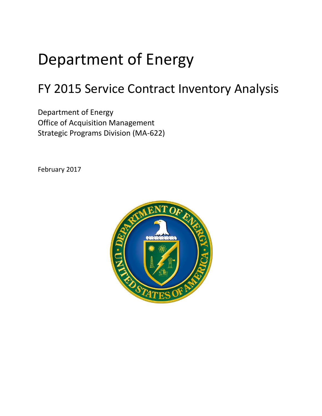# Department of Energy

# FY 2015 Service Contract Inventory Analysis

Department of Energy Office of Acquisition Management Strategic Programs Division (MA-622)

February 2017

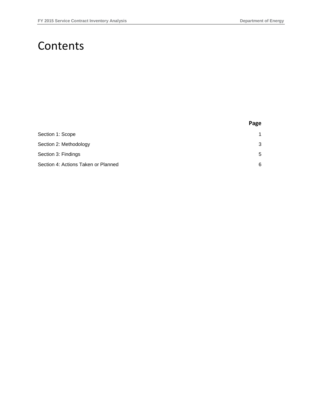### Contents

|                                     | Page        |
|-------------------------------------|-------------|
| Section 1: Scope                    | $\mathbf 1$ |
| Section 2: Methodology              | 3           |
| Section 3: Findings                 | 5           |
| Section 4: Actions Taken or Planned | 6           |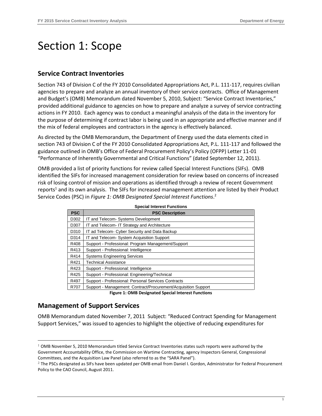## <span id="page-2-0"></span>Section 1: Scope

#### **Service Contract Inventories**

Section 743 of Division C of the FY 2010 Consolidated Appropriations Act, P.L. 111-117, requires civilian agencies to prepare and analyze an annual inventory of their service contracts. Office of Management and Budget's (OMB) Memorandum dated November 5, 2010, Subject: "Service Contract Inventories," provided additional guidance to agencies on how to prepare and analyze a survey of service contracting actions in FY 2010. Each agency was to conduct a meaningful analysis of the data in the inventory for the purpose of determining if contract labor is being used in an appropriate and effective manner and if the mix of federal employees and contractors in the agency is effectively balanced.

As directed by the OMB Memorandum, the Department of Energy used the data elements cited in section 743 of Division C of the FY 2010 Consolidated Appropriations Act, P.L. 111-117 and followed the guidance outlined in OMB's Office of Federal Procurement Policy's Policy (OFPP) Letter 11-01 "Performance of Inherently Governmental and Critical Functions" (dated September 12, 2011).

OMB provided a list of priority functions for review called Special Interest Functions (SIFs). OMB identified the SIFs for increased management consideration for review based on concerns of increased risk of losing control of mission and operations as identified through a review of recent Government reports<sup>1</sup> and its own analysis. The SIFs for increased management attention are listed by their Product Service Codes (PSC) in *Figure 1: OMB Designated Special Interest Functions*. 2

| <b>Special Interest Functions</b> |                                                                |  |  |  |
|-----------------------------------|----------------------------------------------------------------|--|--|--|
| <b>PSC</b>                        | <b>PSC Description</b>                                         |  |  |  |
| D302                              | IT and Telecom- Systems Development                            |  |  |  |
| D307                              | IT and Telecom- IT Strategy and Architecture                   |  |  |  |
| D310                              | IT ad Telecom- Cyber Security and Data Backup                  |  |  |  |
| D314                              | IT and Telecom-System Acquisition Support                      |  |  |  |
| R408                              | Support - Professional: Program Management/Support             |  |  |  |
| R413                              | Support - Professional: Intelligence                           |  |  |  |
| R414                              | <b>Systems Engineering Services</b>                            |  |  |  |
| R421                              | <b>Technical Assistance</b>                                    |  |  |  |
| R423                              | Support - Professional: Intelligence                           |  |  |  |
| R425                              | Support - Professional: Engineering/Technical                  |  |  |  |
| R497                              | Support - Professional: Personal Services Contracts            |  |  |  |
| R707                              | Support - Management: Contract/Procurement/Acquisition Support |  |  |  |

**Figure 1: OMB Designated Special Interest Functions**

### **Management of Support Services**

-

OMB Memorandum dated November 7, 2011 Subject: "Reduced Contract Spending for Management Support Services," was issued to agencies to highlight the objective of reducing expenditures for

<sup>1</sup> OMB November 5, 2010 Memorandum titled Service Contract Inventories states such reports were authored by the Government Accountability Office, the Commission on Wartime Contracting, agency Inspectors General, Congressional Committees, and the Acquisition Law Panel (also referred to as the "SARA Panel").

<sup>2</sup> The PSCs designated as SIFs have been updated per OMB email from Daniel I. Gordon, Administrator for Federal Procurement Policy to the CAO Council, August 2011.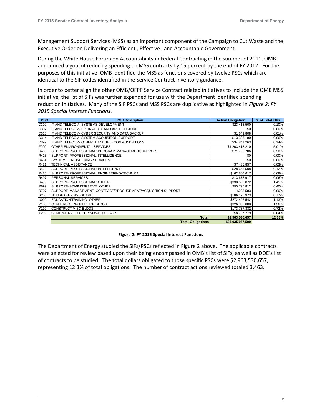Management Support Services (MSS) as an important component of the Campaign to Cut Waste and the Executive Order on Delivering an Efficient , Effective , and Accountable Government.

During the White House Forum on Accountability in Federal Contracting in the summer of 2011, OMB announced a goal of reducing spending on MSS contracts by 15 percent by the end of FY 2012. For the purposes of this initiative, OMB identified the MSS as functions covered by twelve PSCs which are identical to the SIF codes identified in the Service Contract Inventory guidance.

In order to better align the other OMB/OFPP Service Contract related initiatives to include the OMB MSS initiative, the list of SIFs was further expanded for use with the Department identified spending reduction initiatives. Many of the SIF PSCs and MSS PSCs are duplicative as highlighted in *Figure 2: FY 2015 Special Interest Functions*.

| <b>PSC</b> | <b>PSC Description</b>                                        | <b>Action Obligation</b> | % of Total Obs |
|------------|---------------------------------------------------------------|--------------------------|----------------|
| D302       | IT AND TELECOM- SYSTEMS DEVELOPMENT                           | \$23,418,500             | 0.10%          |
| D307       | IIT AND TELECOM- IT STRATEGY AND ARCHITECTURE                 | \$0                      | 0.00%          |
| D310       | IT AND TELECOM- CYBER SECURITY AND DATA BACKUP                | \$1,649,808              | 0.01%          |
| D314       | IT AND TELECOM- SYSTEM ACQUISITION SUPPORT                    | \$13,305,180             | 0.06%          |
| D399       | IT AND TELECOM- OTHER IT AND TELECOMMUNICATIONS               | \$34,841,263             | 0.14%          |
| F999       | <b>OTHER ENVIRONMENTAL SERVICES</b>                           | \$1,203,418,210          | 5.01%          |
| R408       | SUPPORT- PROFESSIONAL: PROGRAM MANAGEMENT/SUPPORT             | \$71,706,706             | 0.30%          |
| R413       | SUPPORT- PROFESSIONAL: INTELLIGENCE                           | \$0                      | 0.00%          |
| R414       | <b>SYSTEMS ENGINEERING SERVICES</b>                           | \$0                      | 0.00%          |
| R421       | <b>TECHNICAL ASSISTANCE</b>                                   | \$7,435,857              | 0.03%          |
| R423       | SUPPORT- PROFESSIONAL: INTELLIGENCE                           | \$28,655,508             | 0.12%          |
| R425       | SUPPORT- PROFESSIONAL: ENGINEERING/TECHNICAL                  | \$162,800,617            | 0.68%          |
| R497       | <b>PERSONAL SERVICES</b>                                      | \$13,673,917             | 0.06%          |
| R499       | SUPPORT- PROFESSIONAL: OTHER                                  | \$338,599,072            | 1.41%          |
| R699       | SUPPORT- ADMINISTRATIVE: OTHER                                | \$95,795,812             | 0.40%          |
| R707       | SUPPORT- MANAGEMENT: CONTRACT/PROCUREMENT/ACQUISITION SUPPORT | \$233,583                | 0.00%          |
| S206       | HOUSEKEEPING- GUARD                                           | \$186,195,973            | 0.77%          |
| U099       | EDUCATION/TRAINING-OTHER                                      | \$272,402,542            | 1.13%          |
| Y153       | CONSTRUCT/PRODUCTION BLDGS                                    | \$326,953,000            | 1.36%          |
| Y199       | CONSTRUCT/MISC BLDGS                                          | \$173,737,832            | 0.72%          |
| Y299       | CONTRUCT/ALL OTHER NON-BLDG FACS                              | \$8,707,279              | 0.04%          |
|            | <b>Total</b>                                                  | \$2,963,530,657          | 12.33%         |
|            | <b>Total Obligations</b>                                      | \$24,035,077,509         |                |

#### **Figure 2: FY 2015 Special Interest Functions**

The Department of Energy studied the SIFs/PSCs reflected in Figure 2 above. The applicable contracts were selected for review based upon their being encompassed in OMB's list of SIFs, as well as DOE's list of contracts to be studied. The total dollars obligated to those specific PSCs were \$2,963,530,657, representing 12.3% of total obligations. The number of contract actions reviewed totaled 3,463.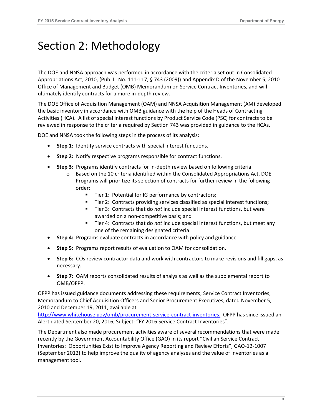# <span id="page-4-0"></span>Section 2: Methodology

The DOE and NNSA approach was performed in accordance with the criteria set out in Consolidated Appropriations Act, 2010, (Pub. L. No. 111-117, § 743 (2009)) and Appendix D of the November 5, 2010 Office of Management and Budget (OMB) Memorandum on Service Contract Inventories, and will ultimately identify contracts for a more in-depth review.

The DOE Office of Acquisition Management (OAM) and NNSA Acquisition Management (AM) developed the basic inventory in accordance with OMB guidance with the help of the Heads of Contracting Activities (HCA). A list of special interest functions by Product Service Code (PSC) for contracts to be reviewed in response to the criteria required by Section 743 was provided in guidance to the HCAs.

DOE and NNSA took the following steps in the process of its analysis:

- **Step 1:** Identify service contracts with special interest functions.
- **Step 2:** Notify respective programs responsible for contract functions.
- **Step 3:** Programs identify contracts for in-depth review based on following criteria:
	- o Based on the 10 criteria identified within the Consolidated Appropriations Act, DOE Programs will prioritize its selection of contracts for further review in the following order:
		- Tier 1: Potential for IG performance by contractors;
		- Tier 2: Contracts providing services classified as special interest functions;
		- Tier 3: Contracts that do *not* include special interest functions, but were awarded on a non-competitive basis; and
		- Tier 4: Contracts that do *not* include special interest functions, but meet any one of the remaining designated criteria.
- **Step 4:** Programs evaluate contracts in accordance with policy and guidance.
- **Step 5:** Programs report results of evaluation to OAM for consolidation.
- **Step 6:** COs review contractor data and work with contractors to make revisions and fill gaps, as necessary.
- **Step 7:** OAM reports consolidated results of analysis as well as the supplemental report to OMB/OFPP.

OFPP has issued guidance documents addressing these requirements; Service Contract Inventories, Memorandum to Chief Acquisition Officers and Senior Procurement Executives, dated November 5, 2010 and December 19, 2011, available at

[http://www.whitehouse.gov/omb/procurement-service-contract-inventories.](https://www.whitehouse.gov/omb/management/office-federal-procurement-policy/#memoranda) OFPP has since issued an Alert dated September 20, 2016, Subject: "FY 2016 Service Contract Inventories".

The Department also made procurement activities aware of several recommendations that were made recently by the Government Accountability Office (GAO) in its report "Civilian Service Contract Inventories: [Opportunities Exist to Improve Agency Reporting and Review Efforts", GAO](http://www.gao.gov/assets/650/648939.pdf)-12-1007 [\(September 2012\)](http://www.gao.gov/assets/650/648939.pdf) to help improve the quality of agency analyses and the value of inventories as a management tool.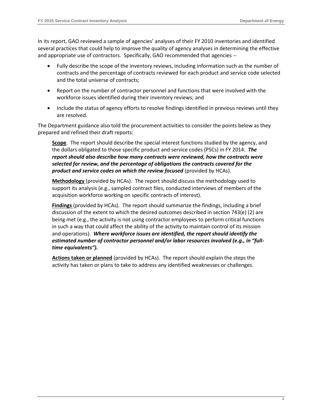In its report, GAO reviewed a sample of agencies' analyses of their FY 2010 inventories and identified several practices that could help to improve the quality of agency analyses in determining the effective and appropriate use of contractors. Specifically, GAO recommended that agencies --

- Fully describe the scope of the inventory reviews, including information such as the number of contracts and the percentage of contracts reviewed for each product and service code selected and the total universe of contracts;
- Report on the number of contractor personnel and functions that were involved with the workforce issues identified during their inventory reviews; and
- Include the status of agency efforts to resolve findings identified in previous reviews until they are resolved.

The Department guidance also told the procurement activities to consider the points below as they prepared and refined their draft reports:

**Scope**. The report should describe the special interest functions studied by the agency, and the dollars obligated to those specific product and service codes (PSCs) in FY 2014. *The report should also describe how many contracts were reviewed, how the contracts were selected for review, and the percentage of obligations the contracts covered for the product and service codes on which the review focused* (provided by HCAs).

**Methodology** (provided by HCAs). The report should discuss the methodology used to support its analysis (e.g., sampled contract files, conducted interviews of members of the acquisition workforce working on specific contracts of interest).

**Findings** (provided by HCAs). The report should summarize the findings, including a brief discussion of the extent to which the desired outcomes described in section 743(e) (2) are being met (e.g., the activity is not using contractor employees to perform critical functions in such a way that could affect the ability of the activity to maintain control of its mission and operations). *Where workforce issues are identified, the report should identify the estimated number of contractor personnel and/or labor resources involved (e.g., in "fulltime equivalents").*

**Actions taken or planned** (provided by HCAs). The report should explain the steps the activity has taken or plans to take to address any identified weaknesses or challenges.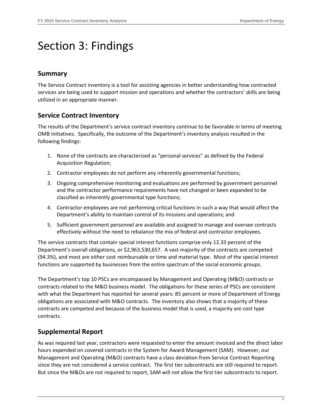# <span id="page-6-0"></span>Section 3: Findings

### **Summary**

The Service Contract inventory is a tool for assisting agencies in better understanding how contracted services are being used to support mission and operations and whether the contractors' skills are being utilized in an appropriate manner.

### **Service Contract Inventory**

The results of the Department's service contract inventory continue to be favorable in terms of meeting OMB initiatives. Specifically, the outcome of the Department's inventory analysis resulted in the following findings:

- 1. None of the contracts are characterized as "personal services" as defined by the Federal Acquisition Regulation;
- 2. Contractor employees do not perform any inherently governmental functions;
- 3. Ongoing comprehensive monitoring and evaluations are performed by government personnel and the contractor performance requirements have not changed or been expanded to be classified as inherently governmental type functions;
- 4. Contractor employees are not performing critical functions in such a way that would affect the Department's ability to maintain control of its missions and operations; and
- 5. Sufficient government personnel are available and assigned to manage and oversee contracts effectively without the need to rebalance the mix of federal and contractor employees.

The service contracts that contain special interest functions comprise only 12.33 percent of the Department's overall obligations, or \$2,963,530,657. A vast majority of the contracts are competed (94.3%), and most are either cost reimbursable or time and material type. Most of the special interest functions are supported by businesses from the entire spectrum of the social economic groups.

The Department's top 10 PSCs are encompassed by Management and Operating (M&O) contracts or contracts related to the M&O business model. The obligations for these series of PSCs are consistent with what the Department has reported for several years: 85 percent or more of Department of Energy obligations are associated with M&O contracts. The inventory also shows that a majority of these contracts are competed and because of the business model that is used, a majority are cost type contracts.

### **Supplemental Report**

As was required last year, contractors were requested to enter the amount invoiced and the direct labor hours expended on covered contracts in the System for Award Management (SAM). However, our Management and Operating (M&O) contracts have a class deviation from Service Contract Reporting since they are not considered a service contract. The first tier subcontracts are still required to report. But since the M&Os are not required to report, SAM will not allow the first tier subcontracts to report.